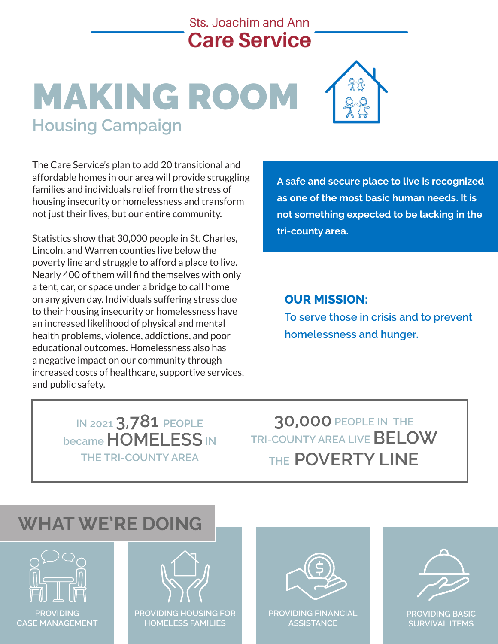# **Sts. Joachim and Ann Care Service**

# MAKING ROOM **Housing Campaign**



The Care Service's plan to add 20 transitional and affordable homes in our area will provide struggling families and individuals relief from the stress of housing insecurity or homelessness and transform not just their lives, but our entire community.

Statistics show that 30,000 people in St. Charles, Lincoln, and Warren counties live below the poverty line and struggle to afford a place to live. Nearly 400 of them will find themselves with only a tent, car, or space under a bridge to call home on any given day. Individuals suffering stress due **CUR MISSION:** St. Charles and St. Charles and St. Charles and S to their housing insecurity or homelessness have **the power than a** pricis an increased likelihood of physical and mental **themselves with only and home.** In this car, or space under a bri health problems, violence, addictions, and poor **homelessness and hunger**. educational outcomes. Homelessness also has and poor educational outcomes. Homelessness also has added from a determinent remotessness also has a negative impact on our community through a negative impact on our community through<br>increased costs of healthcare, supportive services, and public safety. **most basic human needs. It is not something expected to b** lacking in our state in our state  $\mathbf{h}$  is a state of our state  $\mathbf{h}$  and  $\mathbf{h}$  and  $\mathbf{h}$  and  $\mathbf{h}$  and  $\mathbf{h}$  and  $\mathbf{h}$  and  $\mathbf{h}$  and  $\mathbf{h}$  and  $\mathbf{h}$  and  $\mathbf{h}$  and  $\mathbf{h}$  and  $\mathbf{h}$ **The Care Service's plan to add 20 transitional and affordable homes in our area will provide struggling families and individuals relief from the stress of housing insecurity** 

**A safety area. County area.** *A safety area.* **A** safe and secure place to live is recognized **as one of the most basic human needs. It is provide struggling families and individuals relief from the stress of housing insecurity not something expected to be lacking in the The Care Service's plan to add 20 transitional and affordable homes in our area will due inductional numerire community.** 

#### **OUR MISSION:**

**To serve those in crisis and to prevent homelessness and hunger.** 

**IN 2021 3,781 PEOPLE became HOMELESS IN THE TRI-COUNTY AREA**

**30,000 PEOPLE IN THE TRI-COUNTY AREA LIVE BELOW THE POVERTY LINE**

### *The mission of Sts. Joachim and Ann Care Service is to serve those in crisis and prevent homelessness and hunger.* **WHAT WE'RE DOING**





**or homelessness and transform not just their lives, but our entire community.**



**PROVIDING FINANCIAL ASSISTANCE**



**PROVIDING BASIC SURVIVAL ITEMS**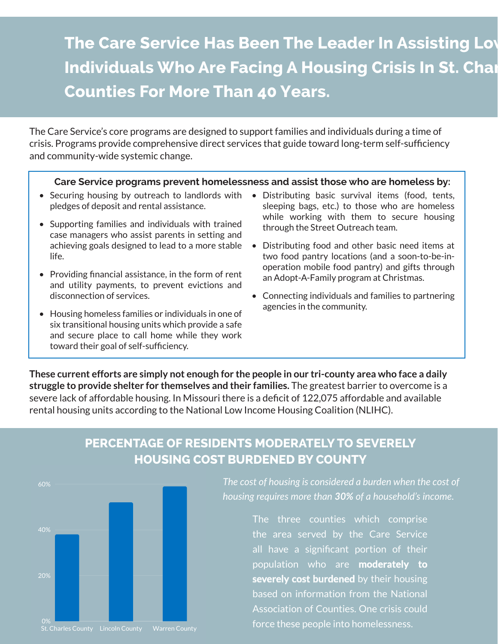# **The Care Service Has Been The Leader In Assisting Lov Individuals Who Are Facing A Housing Crisis In St. Chart Counties For More Than 40 Years.**

The Care Service's core programs are designed to support families and individuals during a time of crisis. Programs provide comprehensive direct services that guide toward long-term self-sufficiency and community-wide systemic change.

#### **Care Service programs prevent homelessness and assist those who are homeless by:**

- Securing housing by outreach to landlords with pledges of deposit and rental assistance.
- Supporting families and individuals with trained case managers who assist parents in setting and achieving goals designed to lead to a more stable life.
- Providing financial assistance, in the form of rent and utility payments, to prevent evictions and disconnection of services.
- Housing homeless families or individuals in one of six transitional housing units which provide a safe and secure place to call home while they work toward their goal of self-sufficiency.
- Distributing basic survival items (food, tents, sleeping bags, etc.) to those who are homeless while working with them to secure housing through the Street Outreach team.
- Distributing food and other basic need items at two food pantry locations (and a soon-to-be-inoperation mobile food pantry) and gifts through an Adopt-A-Family program at Christmas.
- Connecting individuals and families to partnering agencies in the community.

**These current efforts are simply not enough for the people in our tri-county area who face a daily struggle to provide shelter for themselves and their families.** The greatest barrier to overcome is a severe lack of affordable housing. In Missouri there is a deficit of 122,075 affordable and available rental housing units according to the National Low Income Housing Coalition (NLIHC).

### **PERCENTAGE OF RESIDENTS MODERATELY TO SEVERELY HOUSING COST BURDENED BY COUNTY**



*The cost of housing is considered a burden when the cost of housing requires more than 30% of a household's income.*

> The three counties which comprise the area served by the Care Service all have a significant portion of their population who are **moderately to severely cost burdened** by their housing based on information from the National Association of Counties. One crisis could force these people into homelessness.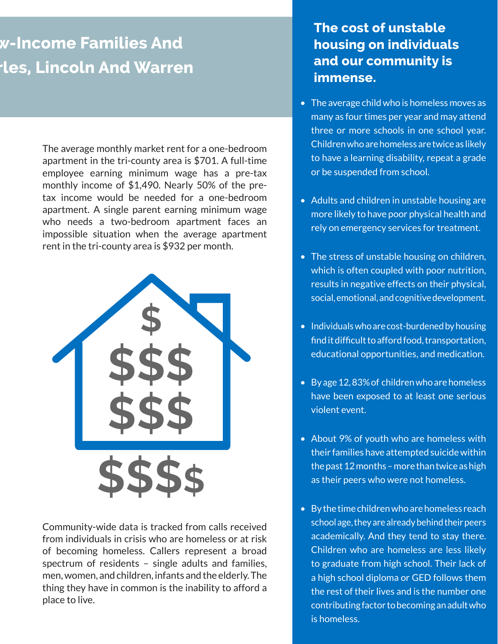# **The Tamilies And Ies, Lincoln And Warren**

The average monthly market rent for a one-bedroom apartment in the tri-county area is \$701. A full-time employee earning minimum wage has a pre-tax monthly income of \$1,490. Nearly 50% of the pretax income would be needed for a one-bedroom apartment. A single parent earning minimum wage who needs a two-bedroom apartment faces an impossible situation when the average apartment rent in the tri-county area is \$932 per month.



Community-wide data is tracked from calls received from individuals in crisis who are homeless or at risk of becoming homeless. Callers represent a broad spectrum of residents – single adults and families, men, women, and children, infants and the elderly. The thing they have in common is the inability to afford a place to live.

## **The cost of unstable housing on individuals and our community is immense.**

- **Counties For More Than 40 Years.**  The average child who is homeless moves as many as four times per year and may attend three or more schools in one school year. Children who are homeless are twice as likely to have a learning disability, repeat a grade or be suspended from school.
	- Adults and children in unstable housing are more likely to have poor physical health and rely on emergency services for treatment.
	- The stress of unstable housing on children, which is often coupled with poor nutrition, results in negative effects on their physical, social, emotional, and cognitive development.
	- Individuals who are cost-burdened by housing find it difficult to afford food, transportation, educational opportunities, and medication.
	- By age 12, 83% of children who are homeless have been exposed to at least one serious violent event.
	- About 9% of youth who are homeless with their families have attempted suicide within the past 12 months – more than twice as high as their peers who were not homeless.
	- By the time children who are homeless reach school age, they are already behind their peers academically. And they tend to stay there. Children who are homeless are less likely to graduate from high school. Their lack of a high school diploma or GED follows them the rest of their lives and is the number one contributing factor to becoming an adult who is homeless.